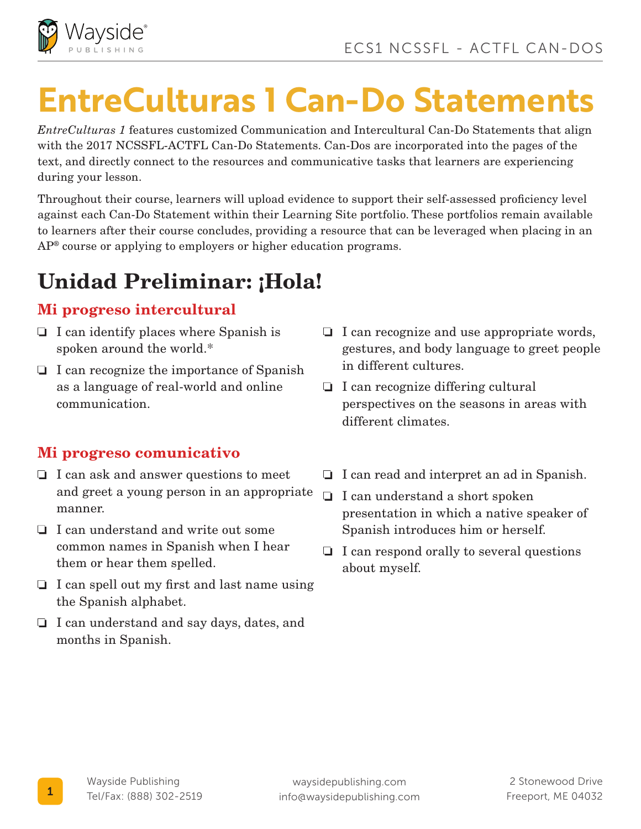

# **EntreCulturas 1 Can-Do Statements**

*EntreCulturas 1* features customized Communication and Intercultural Can-Do Statements that align with the 2017 NCSSFL-ACTFL Can-Do Statements. Can-Dos are incorporated into the pages of the text, and directly connect to the resources and communicative tasks that learners are experiencing during your lesson.

Throughout their course, learners will upload evidence to support their self-assessed proficiency level against each Can-Do Statement within their Learning Site portfolio. These portfolios remain available to learners after their course concludes, providing a resource that can be leveraged when placing in an AP® course or applying to employers or higher education programs.

# Unidad Preliminar: ¡Hola!

#### Mi progreso intercultural

- $\Box$  I can identify places where Spanish is spoken around the world.\*
- $\Box$  I can recognize the importance of Spanish as a language of real-world and online communication.

- I can ask and answer questions to meet and greet a young person in an appropriate manner.
- I can understand and write out some common names in Spanish when I hear them or hear them spelled.
- $\Box$  I can spell out my first and last name using the Spanish alphabet.
- $\Box$  I can understand and say days, dates, and months in Spanish.
- $\Box$  I can recognize and use appropriate words, gestures, and body language to greet people in different cultures.
- $\Box$  I can recognize differing cultural perspectives on the seasons in areas with different climates.
- $\Box$  I can read and interpret an ad in Spanish.
- □ I can understand a short spoken presentation in which a native speaker of Spanish introduces him or herself.
- $\Box$  I can respond orally to several questions about myself.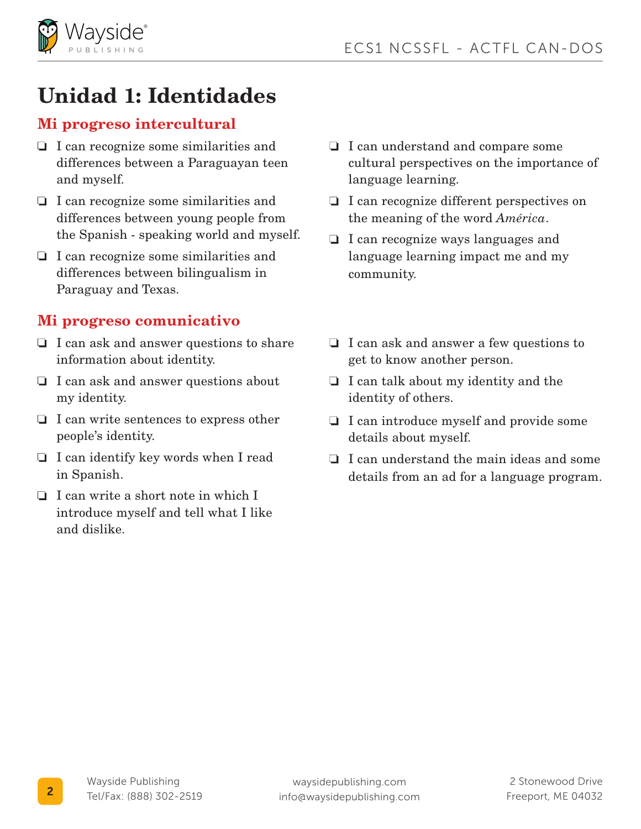

# Unidad 1: Identidades

#### Mi progreso intercultural

- $\Box$  I can recognize some similarities and differences between a Paraguayan teen and myself.
- □ I can recognize some similarities and differences between young people from the Spanish - speaking world and myself.
- $\Box$  I can recognize some similarities and differences between bilingualism in Paraguay and Texas.

- I can ask and answer questions to share information about identity.
- $\Box$  I can ask and answer questions about my identity.
- $\Box$  I can write sentences to express other people's identity.
- $\Box$  I can identify key words when I read in Spanish.
- $\Box$  I can write a short note in which I introduce myself and tell what I like and dislike.
- □ I can understand and compare some cultural perspectives on the importance of language learning.
- I can recognize different perspectives on the meaning of the word *América*.
- $\Box$  I can recognize ways languages and language learning impact me and my community.
- $\Box$  I can ask and answer a few questions to get to know another person.
- $\Box$  I can talk about my identity and the identity of others.
- I can introduce myself and provide some details about myself.
- $\Box$  I can understand the main ideas and some details from an ad for a language program.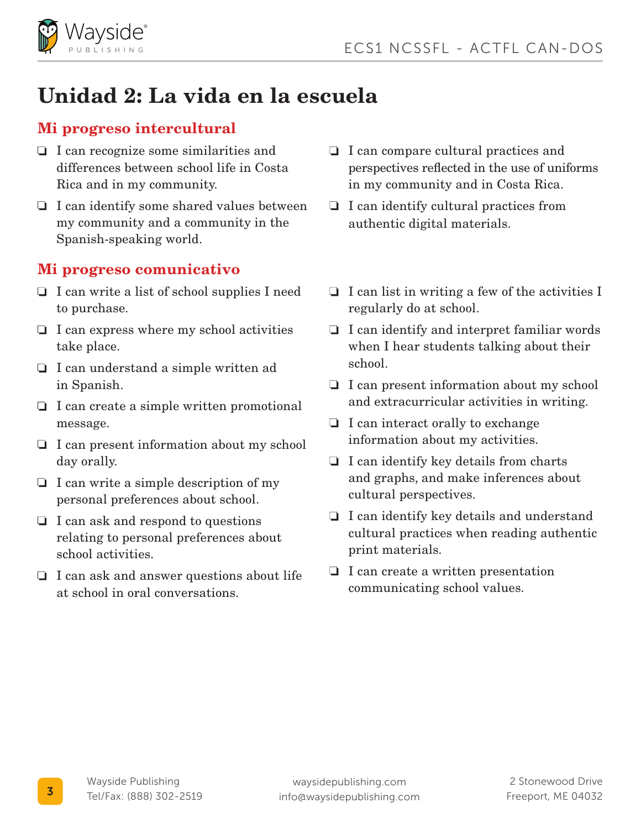

# Unidad 2: La vida en la escuela

#### Mi progreso intercultural

- $\Box$  I can recognize some similarities and differences between school life in Costa Rica and in my community.
- $\Box$  I can identify some shared values between my community and a community in the Spanish-speaking world.

- $\Box$  I can write a list of school supplies I need to purchase.
- $\Box$  I can express where my school activities take place.
- $\Box$  I can understand a simple written ad in Spanish.
- $\Box$  I can create a simple written promotional message.
- $\Box$  I can present information about my school day orally.
- $\Box$  I can write a simple description of my personal preferences about school.
- $\Box$  I can ask and respond to questions relating to personal preferences about school activities.
- $\Box$  I can ask and answer questions about life at school in oral conversations.
- □ I can compare cultural practices and perspectives reflected in the use of uniforms in my community and in Costa Rica.
- $\Box$  I can identify cultural practices from authentic digital materials.
- $\Box$  I can list in writing a few of the activities I regularly do at school.
- $\Box$  I can identify and interpret familiar words when I hear students talking about their school.
- I can present information about my school and extracurricular activities in writing.
- $\Box$  I can interact orally to exchange information about my activities.
- $\Box$  I can identify key details from charts and graphs, and make inferences about cultural perspectives.
- $\Box$  I can identify key details and understand cultural practices when reading authentic print materials.
- $\Box$  I can create a written presentation communicating school values.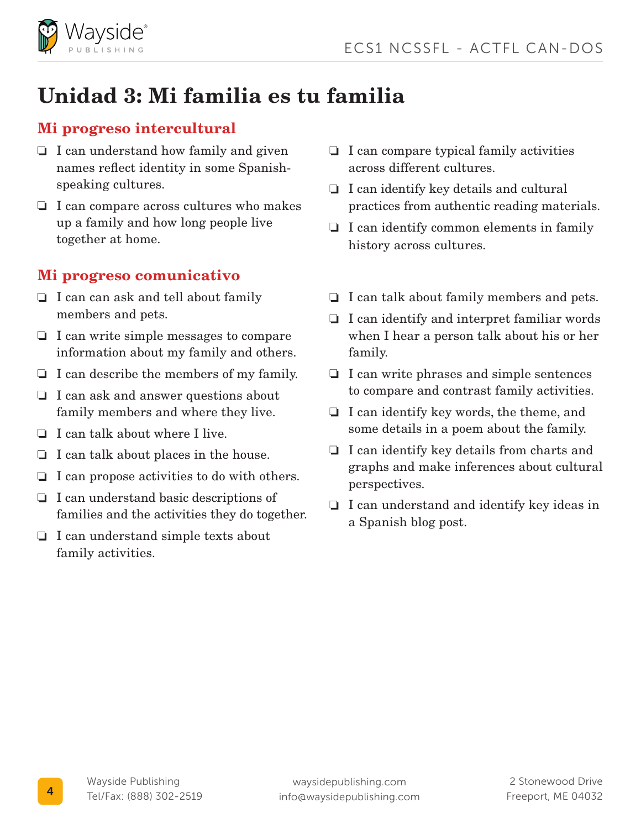

# Unidad 3: Mi familia es tu familia

#### Mi progreso intercultural

- $\Box$  I can understand how family and given names reflect identity in some Spanishspeaking cultures.
- $\Box$  I can compare across cultures who makes up a family and how long people live together at home.

- $\Box$  I can can ask and tell about family members and pets.
- $\Box$  I can write simple messages to compare information about my family and others.
- $\Box$  I can describe the members of my family.
- $\Box$  I can ask and answer questions about family members and where they live.
- $\Box$  I can talk about where I live.
- $\Box$  I can talk about places in the house.
- $\Box$  I can propose activities to do with others.
- □ I can understand basic descriptions of families and the activities they do together.
- $\Box$  I can understand simple texts about family activities.
- $\Box$  I can compare typical family activities across different cultures.
- $\Box$  I can identify key details and cultural practices from authentic reading materials.
- $\Box$  I can identify common elements in family history across cultures.
- $\Box$  I can talk about family members and pets.
- $\Box$  I can identify and interpret familiar words when I hear a person talk about his or her family.
- $\Box$  I can write phrases and simple sentences to compare and contrast family activities.
- $\Box$  I can identify key words, the theme, and some details in a poem about the family.
- $\Box$  I can identify key details from charts and graphs and make inferences about cultural perspectives.
- $\Box$  I can understand and identify key ideas in a Spanish blog post.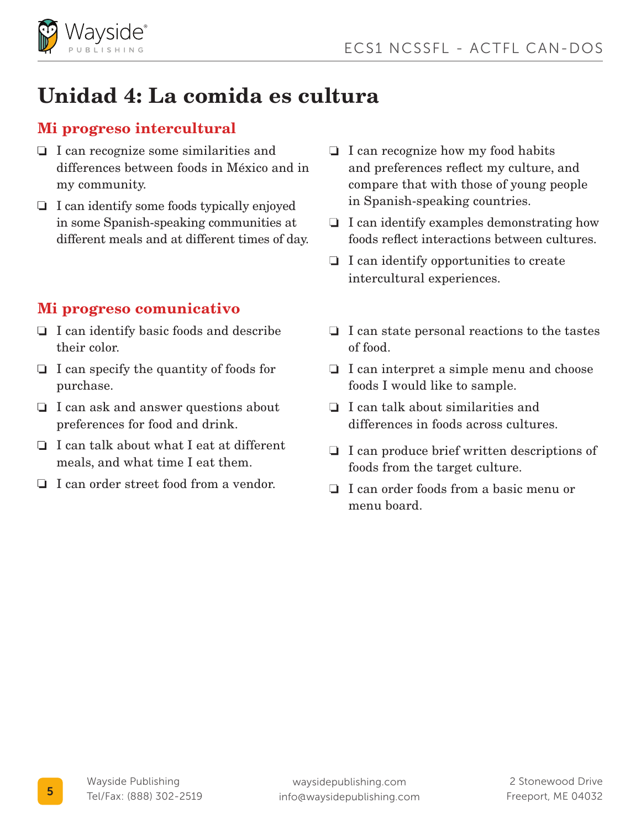

# Unidad 4: La comida es cultura

#### Mi progreso intercultural

- $\Box$  I can recognize some similarities and differences between foods in México and in my community.
- $\Box$  I can identify some foods typically enjoyed in some Spanish-speaking communities at different meals and at different times of day.

- $\Box$  I can identify basic foods and describe their color.
- $\Box$  I can specify the quantity of foods for purchase.
- $\Box$  I can ask and answer questions about preferences for food and drink.
- $\Box$  I can talk about what I eat at different meals, and what time I eat them.
- I can order street food from a vendor.
- $\Box$  I can recognize how my food habits and preferences reflect my culture, and compare that with those of young people in Spanish-speaking countries.
- $\Box$  I can identify examples demonstrating how foods reflect interactions between cultures.
- $\Box$  I can identify opportunities to create intercultural experiences.
- $\Box$  I can state personal reactions to the tastes of food.
- $\Box$  I can interpret a simple menu and choose foods I would like to sample.
- $\Box$  I can talk about similarities and differences in foods across cultures.
- $\Box$  I can produce brief written descriptions of foods from the target culture.
- I can order foods from a basic menu or menu board.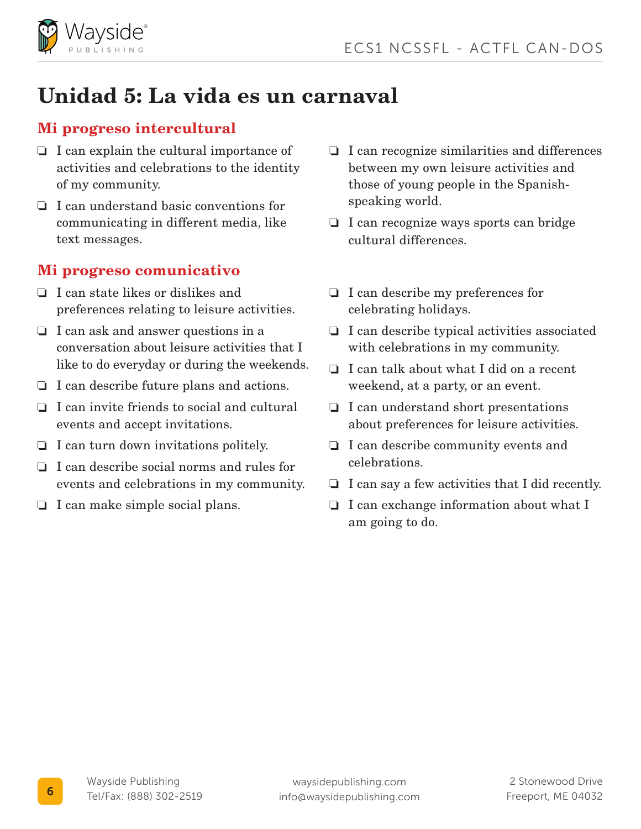

# Unidad 5: La vida es un carnaval

#### Mi progreso intercultural

- $\Box$  I can explain the cultural importance of activities and celebrations to the identity of my community.
- I can understand basic conventions for communicating in different media, like text messages.

- $\Box$  I can state likes or dislikes and preferences relating to leisure activities.
- $\Box$  I can ask and answer questions in a conversation about leisure activities that I like to do everyday or during the weekends.
- $\Box$  I can describe future plans and actions.
- $\Box$  I can invite friends to social and cultural events and accept invitations.
- $\Box$  I can turn down invitations politely.
- $\Box$  I can describe social norms and rules for events and celebrations in my community.
- $\Box$  I can make simple social plans.
- $\Box$  I can recognize similarities and differences between my own leisure activities and those of young people in the Spanishspeaking world.
- $\Box$  I can recognize ways sports can bridge cultural differences.
- $\Box$  I can describe my preferences for celebrating holidays.
- $\Box$  I can describe typical activities associated with celebrations in my community.
- $\Box$  I can talk about what I did on a recent weekend, at a party, or an event.
- $\Box$  I can understand short presentations about preferences for leisure activities.
- $\Box$  I can describe community events and celebrations.
- $\Box$  I can say a few activities that I did recently.
- $\Box$  I can exchange information about what I am going to do.